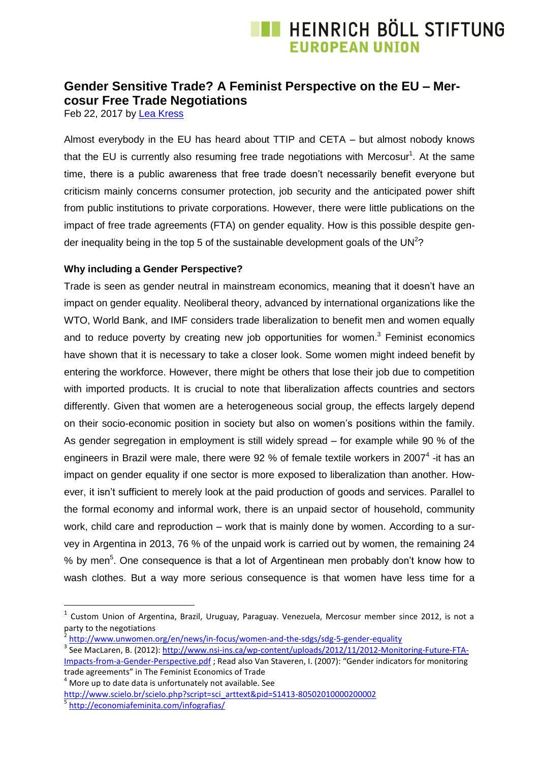# **E HEINRICH BÖLL STIFTUNG FUROPEAN UNION**

### **Gender Sensitive Trade? A Feminist Perspective on the EU – Mercosur Free Trade Negotiations**

Feb 22, 2017 by [Lea Kress](https://eu.boell.org/en/person/lea-kress)

Almost everybody in the EU has heard about TTIP and CETA – but almost nobody knows that the EU is currently also resuming free trade negotiations with Mercosur<sup>1</sup>. At the same time, there is a public awareness that free trade doesn't necessarily benefit everyone but criticism mainly concerns consumer protection, job security and the anticipated power shift from public institutions to private corporations. However, there were little publications on the impact of free trade agreements (FTA) on gender equality. How is this possible despite gender inequality being in the top 5 of the sustainable development goals of the UN<sup>2</sup>?

#### **Why including a Gender Perspective?**

Trade is seen as gender neutral in mainstream economics, meaning that it doesn't have an impact on gender equality. Neoliberal theory, advanced by international organizations like the WTO, World Bank, and IMF considers trade liberalization to benefit men and women equally and to reduce poverty by creating new job opportunities for women.<sup>3</sup> Feminist economics have shown that it is necessary to take a closer look. Some women might indeed benefit by entering the workforce. However, there might be others that lose their job due to competition with imported products. It is crucial to note that liberalization affects countries and sectors differently. Given that women are a heterogeneous social group, the effects largely depend on their socio-economic position in society but also on women's positions within the family. As gender segregation in employment is still widely spread – for example while 90 % of the engineers in Brazil were male, there were 92 % of female textile workers in 2007<sup>4</sup> -it has an impact on gender equality if one sector is more exposed to liberalization than another. However, it isn't sufficient to merely look at the paid production of goods and services. Parallel to the formal economy and informal work, there is an unpaid sector of household, community work, child care and reproduction – work that is mainly done by women. According to a survey in Argentina in 2013, 76 % of the unpaid work is carried out by women, the remaining 24 % by men<sup>5</sup>. One consequence is that a lot of Argentinean men probably don't know how to wash clothes. But a way more serious consequence is that women have less time for a

<sup>&</sup>lt;sup>1</sup> Custom Union of Argentina, Brazil, Uruguay, Paraguay. Venezuela, Mercosur member since 2012, is not a party to the negotiations

<sup>2</sup> <http://www.unwomen.org/en/news/in-focus/women-and-the-sdgs/sdg-5-gender-equality>

<sup>&</sup>lt;sup>3</sup> See MacLaren, B. (2012): <u>http://www.nsi-ins.ca/wp-content/uploads/2012/11/2012-Monitoring-Future-FTA-</u> [Impacts-from-a-Gender-Perspective.pdf](http://www.nsi-ins.ca/wp-content/uploads/2012/11/2012-Monitoring-Future-FTA-Impacts-from-a-Gender-Perspective.pdf) ; Read also Van Staveren, I. (2007): "Gender indicators for monitoring trade agreements" in The Feminist Economics of Trade

 $4$  More up to date data is unfortunately not available. See [http://www.scielo.br/scielo.php?script=sci\\_arttext&pid=S1413-80502010000200002](http://www.scielo.br/scielo.php?script=sci_arttext&pid=S1413-80502010000200002)

<sup>&</sup>lt;sup>5</sup><http://economiafeminita.com/infografias/>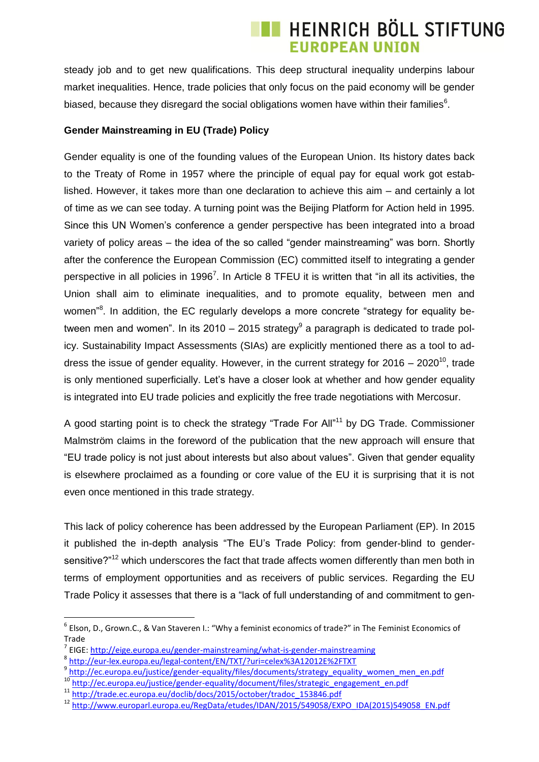# **E HEINRICH BÖLL STIFTUNG EUROPEAN UNION**

steady job and to get new qualifications. This deep structural inequality underpins labour market inequalities. Hence, trade policies that only focus on the paid economy will be gender biased, because they disregard the social obligations women have within their families $6$ .

#### **Gender Mainstreaming in EU (Trade) Policy**

Gender equality is one of the founding values of the European Union. Its history dates back to the Treaty of Rome in 1957 where the principle of equal pay for equal work got established. However, it takes more than one declaration to achieve this aim – and certainly a lot of time as we can see today. A turning point was the Beijing Platform for Action held in 1995. Since this UN Women's conference a gender perspective has been integrated into a broad variety of policy areas – the idea of the so called "gender mainstreaming" was born. Shortly after the conference the European Commission (EC) committed itself to integrating a gender perspective in all policies in 1996<sup>7</sup>. In Article 8 TFEU it is written that "in all its activities, the Union shall aim to eliminate inequalities, and to promote equality, between men and women<sup>38</sup>. In addition, the EC regularly develops a more concrete "strategy for equality between men and women". In its 2010 – 2015 strategy $^9$  a paragraph is dedicated to trade policy. Sustainability Impact Assessments (SIAs) are explicitly mentioned there as a tool to address the issue of gender equality. However, in the current strategy for  $2016 - 2020^{10}$ , trade is only mentioned superficially. Let's have a closer look at whether and how gender equality is integrated into EU trade policies and explicitly the free trade negotiations with Mercosur.

A good starting point is to check the strategy "Trade For All"<sup>11</sup> by DG Trade. Commissioner Malmström claims in the foreword of the publication that the new approach will ensure that "EU trade policy is not just about interests but also about values". Given that gender equality is elsewhere proclaimed as a founding or core value of the EU it is surprising that it is not even once mentioned in this trade strategy.

This lack of policy coherence has been addressed by the European Parliament (EP). In 2015 it published the in-depth analysis "The EU's Trade Policy: from gender-blind to gendersensitive?"<sup>12</sup> which underscores the fact that trade affects women differently than men both in terms of employment opportunities and as receivers of public services. Regarding the EU Trade Policy it assesses that there is a "lack of full understanding of and commitment to gen-

<sup>9</sup> [http://ec.europa.eu/justice/gender-equality/files/documents/strategy\\_equality\\_women\\_men\\_en.pdf](http://ec.europa.eu/justice/gender-equality/files/documents/strategy_equality_women_men_en.pdf)

<sup>6</sup> Elson, D., Grown.C., & Van Staveren I.: "Why a feminist economics of trade?" in The Feminist Economics of Trade

<sup>&</sup>lt;sup>7</sup> EIGE:<http://eige.europa.eu/gender-mainstreaming/what-is-gender-mainstreaming>

<sup>8</sup> <http://eur-lex.europa.eu/legal-content/EN/TXT/?uri=celex%3A12012E%2FTXT>

<sup>&</sup>lt;sup>10</sup> [http://ec.europa.eu/justice/gender-equality/document/files/strategic\\_engagement\\_en.pdf](http://ec.europa.eu/justice/gender-equality/document/files/strategic_engagement_en.pdf)

<sup>11</sup> [http://trade.ec.europa.eu/doclib/docs/2015/october/tradoc\\_153846.pdf](http://trade.ec.europa.eu/doclib/docs/2015/october/tradoc_153846.pdf)

<sup>12</sup> [http://www.europarl.europa.eu/RegData/etudes/IDAN/2015/549058/EXPO\\_IDA\(2015\)549058\\_EN.pdf](http://www.europarl.europa.eu/RegData/etudes/IDAN/2015/549058/EXPO_IDA(2015)549058_EN.pdf)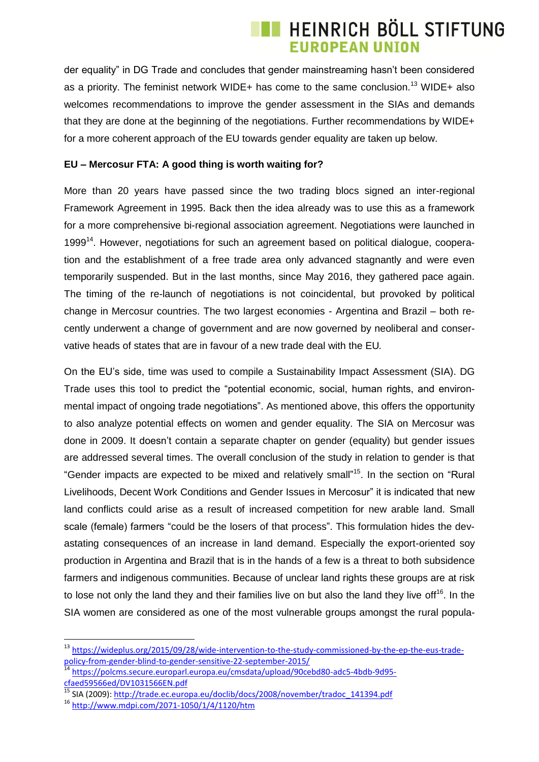# **E HEINRICH BÖLL STIFTUNG EUROPEAN UNION**

der equality" in DG Trade and concludes that gender mainstreaming hasn't been considered as a priority. The feminist network WIDE+ has come to the same conclusion.<sup>13</sup> WIDE+ also welcomes recommendations to improve the gender assessment in the SIAs and demands that they are done at the beginning of the negotiations. Further recommendations by WIDE+ for a more coherent approach of the EU towards gender equality are taken up below.

#### **EU – Mercosur FTA: A good thing is worth waiting for?**

More than 20 years have passed since the two trading blocs signed an inter-regional Framework Agreement in 1995. Back then the idea already was to use this as a framework for a more comprehensive bi-regional association agreement. Negotiations were launched in 1999<sup>14</sup>. However, negotiations for such an agreement based on political dialogue, cooperation and the establishment of a free trade area only advanced stagnantly and were even temporarily suspended. But in the last months, since May 2016, they gathered pace again. The timing of the re-launch of negotiations is not coincidental, but provoked by political change in Mercosur countries. The two largest economies - Argentina and Brazil – both recently underwent a change of government and are now governed by neoliberal and conservative heads of states that are in favour of a new trade deal with the EU*.* 

On the EU's side, time was used to compile a Sustainability Impact Assessment (SIA). DG Trade uses this tool to predict the "potential economic, social, human rights, and environmental impact of ongoing trade negotiations". As mentioned above, this offers the opportunity to also analyze potential effects on women and gender equality. The SIA on Mercosur was done in 2009. It doesn't contain a separate chapter on gender (equality) but gender issues are addressed several times. The overall conclusion of the study in relation to gender is that "Gender impacts are expected to be mixed and relatively small" <sup>15</sup>. In the section on "Rural Livelihoods, Decent Work Conditions and Gender Issues in Mercosur" it is indicated that new land conflicts could arise as a result of increased competition for new arable land. Small scale (female) farmers "could be the losers of that process". This formulation hides the devastating consequences of an increase in land demand. Especially the export-oriented soy production in Argentina and Brazil that is in the hands of a few is a threat to both subsidence farmers and indigenous communities. Because of unclear land rights these groups are at risk to lose not only the land they and their families live on but also the land they live off<sup>16</sup>. In the SIA women are considered as one of the most vulnerable groups amongst the rural popula-

<sup>&</sup>lt;sup>13</sup> [https://wideplus.org/2015/09/28/wide-intervention-to-the-study-commissioned-by-the-ep-the-eus-trade](https://wideplus.org/2015/09/28/wide-intervention-to-the-study-commissioned-by-the-ep-the-eus-trade-policy-from-gender-blind-to-gender-sensitive-22-september-2015/)[policy-from-gender-blind-to-gender-sensitive-22-september-2015/](https://wideplus.org/2015/09/28/wide-intervention-to-the-study-commissioned-by-the-ep-the-eus-trade-policy-from-gender-blind-to-gender-sensitive-22-september-2015/)

<sup>&</sup>lt;sup>14</sup> [https://polcms.secure.europarl.europa.eu/cmsdata/upload/90cebd80-adc5-4bdb-9d95](https://polcms.secure.europarl.europa.eu/cmsdata/upload/90cebd80-adc5-4bdb-9d95-cfaed59566ed/DV1031566EN.pdf) [cfaed59566ed/DV1031566EN.pdf](https://polcms.secure.europarl.europa.eu/cmsdata/upload/90cebd80-adc5-4bdb-9d95-cfaed59566ed/DV1031566EN.pdf)

<sup>15</sup> SIA (2009): [http://trade.ec.europa.eu/doclib/docs/2008/november/tradoc\\_141394.pdf](http://trade.ec.europa.eu/doclib/docs/2008/november/tradoc_141394.pdf)

<sup>16</sup> <http://www.mdpi.com/2071-1050/1/4/1120/htm>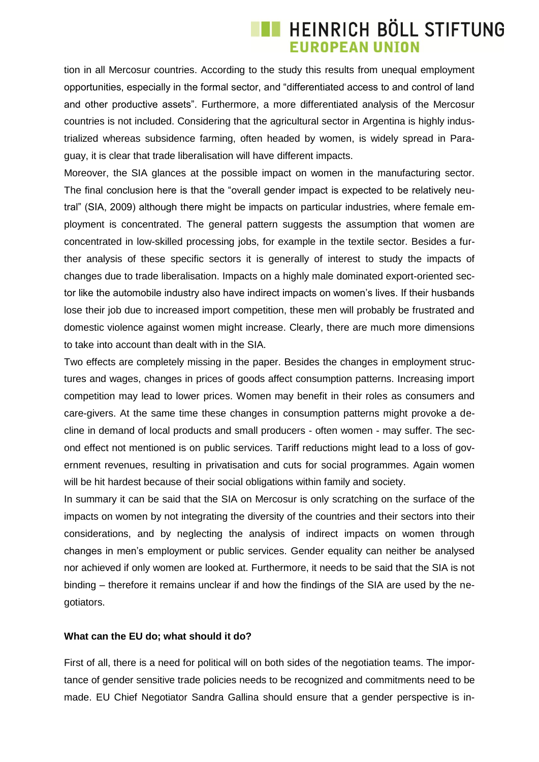### **TE HEINRICH BÖLL STIFTUNG EUROPEAN UNION**

tion in all Mercosur countries. According to the study this results from unequal employment opportunities, especially in the formal sector, and "differentiated access to and control of land and other productive assets". Furthermore, a more differentiated analysis of the Mercosur countries is not included. Considering that the agricultural sector in Argentina is highly industrialized whereas subsidence farming, often headed by women, is widely spread in Paraguay, it is clear that trade liberalisation will have different impacts.

Moreover, the SIA glances at the possible impact on women in the manufacturing sector. The final conclusion here is that the "overall gender impact is expected to be relatively neutral" (SIA, 2009) although there might be impacts on particular industries, where female employment is concentrated. The general pattern suggests the assumption that women are concentrated in low-skilled processing jobs, for example in the textile sector. Besides a further analysis of these specific sectors it is generally of interest to study the impacts of changes due to trade liberalisation. Impacts on a highly male dominated export-oriented sector like the automobile industry also have indirect impacts on women's lives. If their husbands lose their job due to increased import competition, these men will probably be frustrated and domestic violence against women might increase. Clearly, there are much more dimensions to take into account than dealt with in the SIA.

Two effects are completely missing in the paper. Besides the changes in employment structures and wages, changes in prices of goods affect consumption patterns. Increasing import competition may lead to lower prices. Women may benefit in their roles as consumers and care-givers. At the same time these changes in consumption patterns might provoke a decline in demand of local products and small producers - often women - may suffer. The second effect not mentioned is on public services. Tariff reductions might lead to a loss of government revenues, resulting in privatisation and cuts for social programmes. Again women will be hit hardest because of their social obligations within family and society.

In summary it can be said that the SIA on Mercosur is only scratching on the surface of the impacts on women by not integrating the diversity of the countries and their sectors into their considerations, and by neglecting the analysis of indirect impacts on women through changes in men's employment or public services. Gender equality can neither be analysed nor achieved if only women are looked at. Furthermore, it needs to be said that the SIA is not binding – therefore it remains unclear if and how the findings of the SIA are used by the negotiators.

#### **What can the EU do; what should it do?**

First of all, there is a need for political will on both sides of the negotiation teams. The importance of gender sensitive trade policies needs to be recognized and commitments need to be made. EU Chief Negotiator Sandra Gallina should ensure that a gender perspective is in-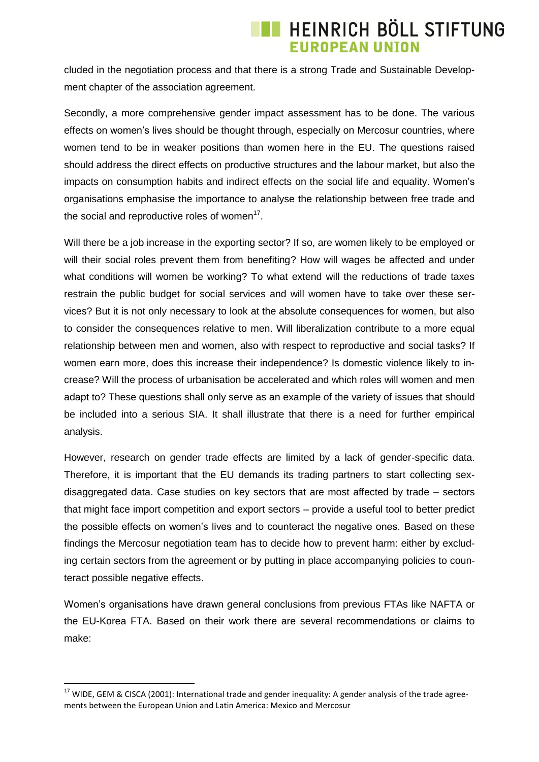## **TE HEINRICH BÖLL STIFTUNG EUROPEAN UNION**

cluded in the negotiation process and that there is a strong Trade and Sustainable Development chapter of the association agreement.

Secondly, a more comprehensive gender impact assessment has to be done. The various effects on women's lives should be thought through, especially on Mercosur countries, where women tend to be in weaker positions than women here in the EU. The questions raised should address the direct effects on productive structures and the labour market, but also the impacts on consumption habits and indirect effects on the social life and equality. Women's organisations emphasise the importance to analyse the relationship between free trade and the social and reproductive roles of women $17$ .

Will there be a job increase in the exporting sector? If so, are women likely to be employed or will their social roles prevent them from benefiting? How will wages be affected and under what conditions will women be working? To what extend will the reductions of trade taxes restrain the public budget for social services and will women have to take over these services? But it is not only necessary to look at the absolute consequences for women, but also to consider the consequences relative to men. Will liberalization contribute to a more equal relationship between men and women, also with respect to reproductive and social tasks? If women earn more, does this increase their independence? Is domestic violence likely to increase? Will the process of urbanisation be accelerated and which roles will women and men adapt to? These questions shall only serve as an example of the variety of issues that should be included into a serious SIA. It shall illustrate that there is a need for further empirical analysis.

However, research on gender trade effects are limited by a lack of gender-specific data. Therefore, it is important that the EU demands its trading partners to start collecting sexdisaggregated data. Case studies on key sectors that are most affected by trade – sectors that might face import competition and export sectors – provide a useful tool to better predict the possible effects on women's lives and to counteract the negative ones. Based on these findings the Mercosur negotiation team has to decide how to prevent harm: either by excluding certain sectors from the agreement or by putting in place accompanying policies to counteract possible negative effects.

Women's organisations have drawn general conclusions from previous FTAs like NAFTA or the EU-Korea FTA. Based on their work there are several recommendations or claims to make:

<sup>&</sup>lt;sup>17</sup> WIDE, GEM & CISCA (2001): International trade and gender inequality: A gender analysis of the trade agreements between the European Union and Latin America: Mexico and Mercosur